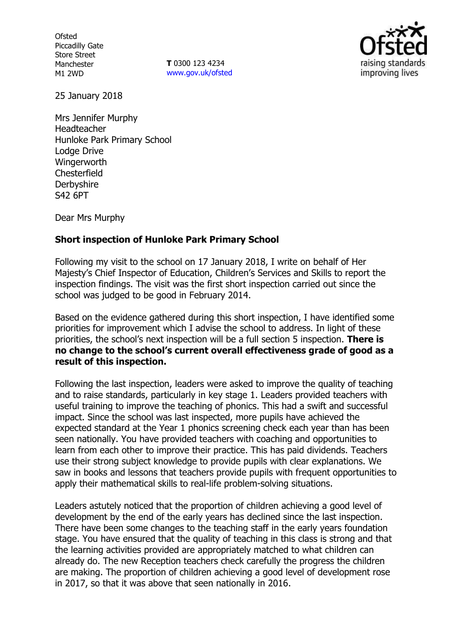**Ofsted** Piccadilly Gate Store Street Manchester M1 2WD

**T** 0300 123 4234 www.gov.uk/ofsted



25 January 2018

Mrs Jennifer Murphy Headteacher Hunloke Park Primary School Lodge Drive **Wingerworth Chesterfield Derbyshire** S42 6PT

Dear Mrs Murphy

## **Short inspection of Hunloke Park Primary School**

Following my visit to the school on 17 January 2018, I write on behalf of Her Majesty's Chief Inspector of Education, Children's Services and Skills to report the inspection findings. The visit was the first short inspection carried out since the school was judged to be good in February 2014.

Based on the evidence gathered during this short inspection, I have identified some priorities for improvement which I advise the school to address. In light of these priorities, the school's next inspection will be a full section 5 inspection. **There is no change to the school's current overall effectiveness grade of good as a result of this inspection.**

Following the last inspection, leaders were asked to improve the quality of teaching and to raise standards, particularly in key stage 1. Leaders provided teachers with useful training to improve the teaching of phonics. This had a swift and successful impact. Since the school was last inspected, more pupils have achieved the expected standard at the Year 1 phonics screening check each year than has been seen nationally. You have provided teachers with coaching and opportunities to learn from each other to improve their practice. This has paid dividends. Teachers use their strong subject knowledge to provide pupils with clear explanations. We saw in books and lessons that teachers provide pupils with frequent opportunities to apply their mathematical skills to real-life problem-solving situations.

Leaders astutely noticed that the proportion of children achieving a good level of development by the end of the early years has declined since the last inspection. There have been some changes to the teaching staff in the early years foundation stage. You have ensured that the quality of teaching in this class is strong and that the learning activities provided are appropriately matched to what children can already do. The new Reception teachers check carefully the progress the children are making. The proportion of children achieving a good level of development rose in 2017, so that it was above that seen nationally in 2016.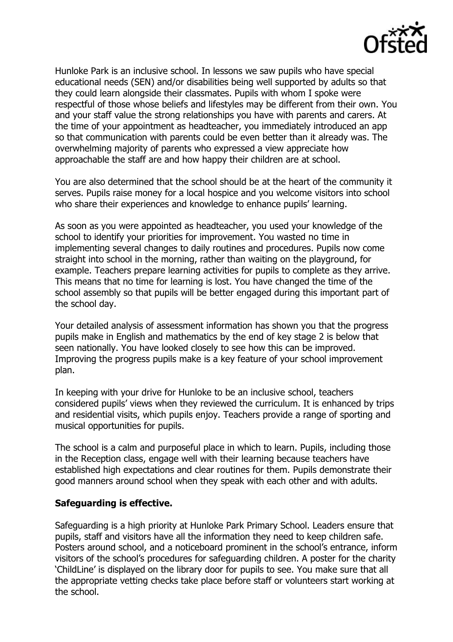

Hunloke Park is an inclusive school. In lessons we saw pupils who have special educational needs (SEN) and/or disabilities being well supported by adults so that they could learn alongside their classmates. Pupils with whom I spoke were respectful of those whose beliefs and lifestyles may be different from their own. You and your staff value the strong relationships you have with parents and carers. At the time of your appointment as headteacher, you immediately introduced an app so that communication with parents could be even better than it already was. The overwhelming majority of parents who expressed a view appreciate how approachable the staff are and how happy their children are at school.

You are also determined that the school should be at the heart of the community it serves. Pupils raise money for a local hospice and you welcome visitors into school who share their experiences and knowledge to enhance pupils' learning.

As soon as you were appointed as headteacher, you used your knowledge of the school to identify your priorities for improvement. You wasted no time in implementing several changes to daily routines and procedures. Pupils now come straight into school in the morning, rather than waiting on the playground, for example. Teachers prepare learning activities for pupils to complete as they arrive. This means that no time for learning is lost. You have changed the time of the school assembly so that pupils will be better engaged during this important part of the school day.

Your detailed analysis of assessment information has shown you that the progress pupils make in English and mathematics by the end of key stage 2 is below that seen nationally. You have looked closely to see how this can be improved. Improving the progress pupils make is a key feature of your school improvement plan.

In keeping with your drive for Hunloke to be an inclusive school, teachers considered pupils' views when they reviewed the curriculum. It is enhanced by trips and residential visits, which pupils enjoy. Teachers provide a range of sporting and musical opportunities for pupils.

The school is a calm and purposeful place in which to learn. Pupils, including those in the Reception class, engage well with their learning because teachers have established high expectations and clear routines for them. Pupils demonstrate their good manners around school when they speak with each other and with adults.

## **Safeguarding is effective.**

Safeguarding is a high priority at Hunloke Park Primary School. Leaders ensure that pupils, staff and visitors have all the information they need to keep children safe. Posters around school, and a noticeboard prominent in the school's entrance, inform visitors of the school's procedures for safeguarding children. A poster for the charity 'ChildLine' is displayed on the library door for pupils to see. You make sure that all the appropriate vetting checks take place before staff or volunteers start working at the school.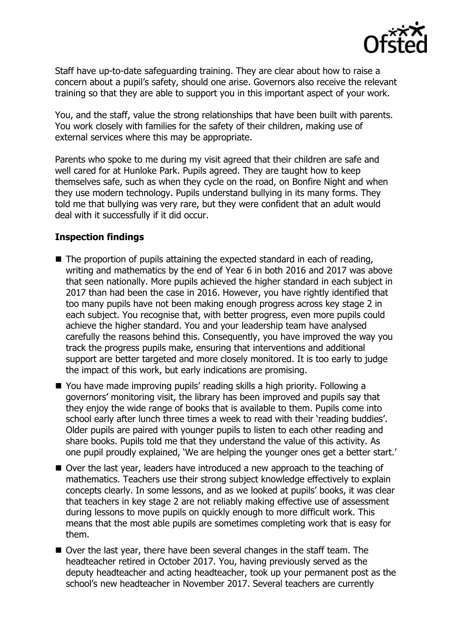

Staff have up-to-date safeguarding training. They are clear about how to raise a concern about a pupil's safety, should one arise. Governors also receive the relevant training so that they are able to support you in this important aspect of your work.

You, and the staff, value the strong relationships that have been built with parents. You work closely with families for the safety of their children, making use of external services where this may be appropriate.

Parents who spoke to me during my visit agreed that their children are safe and well cared for at Hunloke Park. Pupils agreed. They are taught how to keep themselves safe, such as when they cycle on the road, on Bonfire Night and when they use modern technology. Pupils understand bullying in its many forms. They told me that bullying was very rare, but they were confident that an adult would deal with it successfully if it did occur.

# **Inspection findings**

- The proportion of pupils attaining the expected standard in each of reading, writing and mathematics by the end of Year 6 in both 2016 and 2017 was above that seen nationally. More pupils achieved the higher standard in each subject in 2017 than had been the case in 2016. However, you have rightly identified that too many pupils have not been making enough progress across key stage 2 in each subject. You recognise that, with better progress, even more pupils could achieve the higher standard. You and your leadership team have analysed carefully the reasons behind this. Consequently, you have improved the way you track the progress pupils make, ensuring that interventions and additional support are better targeted and more closely monitored. It is too early to judge the impact of this work, but early indications are promising.
- You have made improving pupils' reading skills a high priority. Following a governors' monitoring visit, the library has been improved and pupils say that they enjoy the wide range of books that is available to them. Pupils come into school early after lunch three times a week to read with their 'reading buddies'. Older pupils are paired with younger pupils to listen to each other reading and share books. Pupils told me that they understand the value of this activity. As one pupil proudly explained, 'We are helping the younger ones get a better start.'
- Over the last year, leaders have introduced a new approach to the teaching of mathematics. Teachers use their strong subject knowledge effectively to explain concepts clearly. In some lessons, and as we looked at pupils' books, it was clear that teachers in key stage 2 are not reliably making effective use of assessment during lessons to move pupils on quickly enough to more difficult work. This means that the most able pupils are sometimes completing work that is easy for them.
- Over the last year, there have been several changes in the staff team. The headteacher retired in October 2017. You, having previously served as the deputy headteacher and acting headteacher, took up your permanent post as the school's new headteacher in November 2017. Several teachers are currently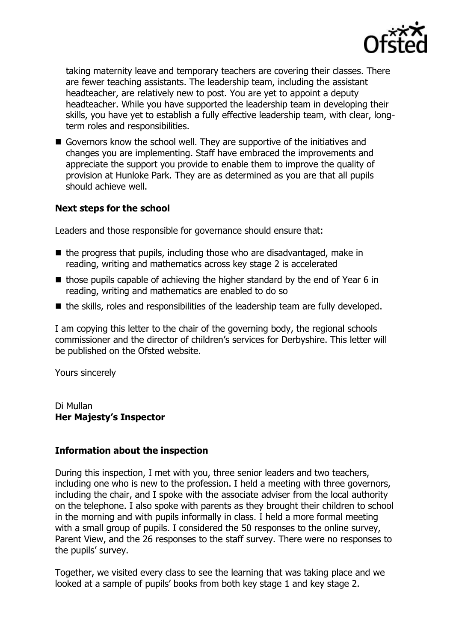

taking maternity leave and temporary teachers are covering their classes. There are fewer teaching assistants. The leadership team, including the assistant headteacher, are relatively new to post. You are yet to appoint a deputy headteacher. While you have supported the leadership team in developing their skills, you have yet to establish a fully effective leadership team, with clear, longterm roles and responsibilities.

Governors know the school well. They are supportive of the initiatives and changes you are implementing. Staff have embraced the improvements and appreciate the support you provide to enable them to improve the quality of provision at Hunloke Park. They are as determined as you are that all pupils should achieve well.

## **Next steps for the school**

Leaders and those responsible for governance should ensure that:

- $\blacksquare$  the progress that pupils, including those who are disadvantaged, make in reading, writing and mathematics across key stage 2 is accelerated
- $\blacksquare$  those pupils capable of achieving the higher standard by the end of Year 6 in reading, writing and mathematics are enabled to do so
- $\blacksquare$  the skills, roles and responsibilities of the leadership team are fully developed.

I am copying this letter to the chair of the governing body, the regional schools commissioner and the director of children's services for Derbyshire. This letter will be published on the Ofsted website.

Yours sincerely

Di Mullan **Her Majesty's Inspector**

## **Information about the inspection**

During this inspection, I met with you, three senior leaders and two teachers, including one who is new to the profession. I held a meeting with three governors, including the chair, and I spoke with the associate adviser from the local authority on the telephone. I also spoke with parents as they brought their children to school in the morning and with pupils informally in class. I held a more formal meeting with a small group of pupils. I considered the 50 responses to the online survey, Parent View, and the 26 responses to the staff survey. There were no responses to the pupils' survey.

Together, we visited every class to see the learning that was taking place and we looked at a sample of pupils' books from both key stage 1 and key stage 2.